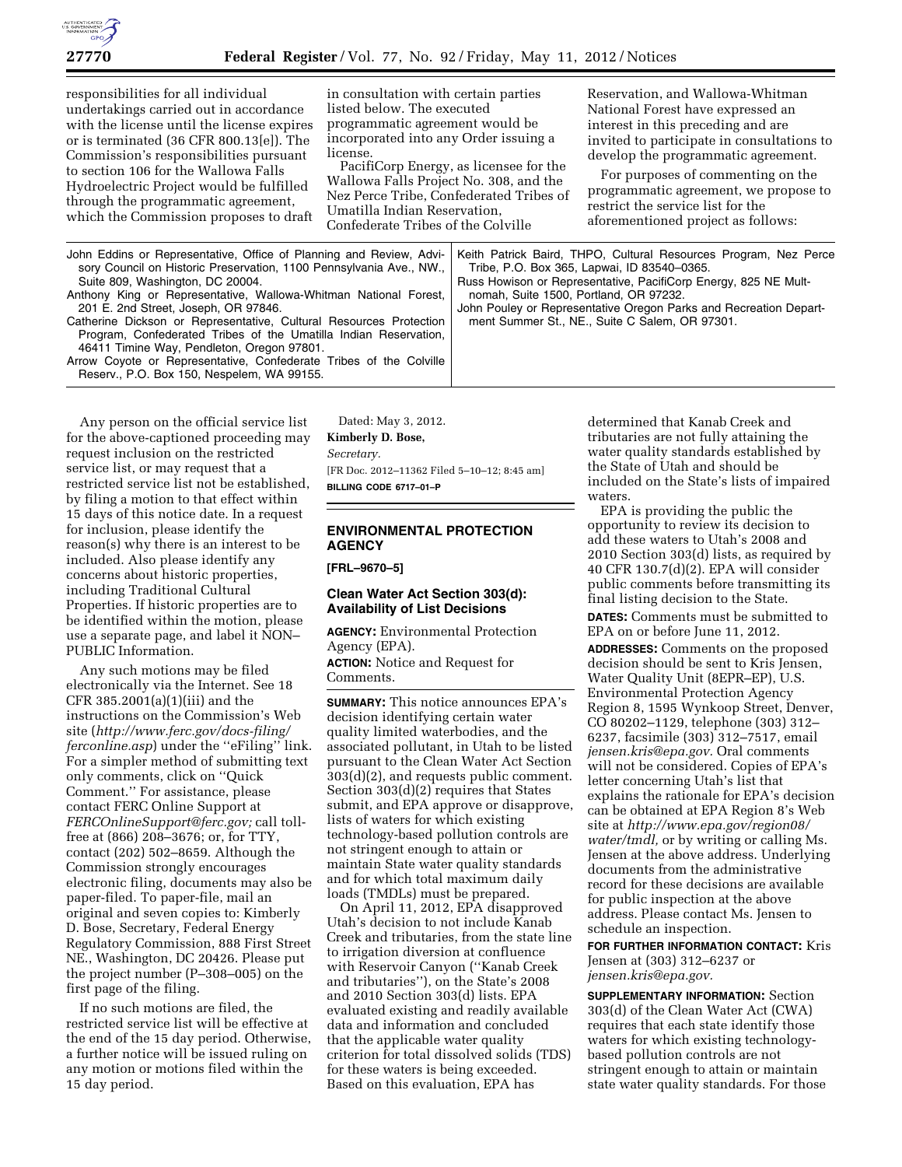

responsibilities for all individual undertakings carried out in accordance with the license until the license expires or is terminated (36 CFR 800.13[e]). The Commission's responsibilities pursuant to section 106 for the Wallowa Falls Hydroelectric Project would be fulfilled through the programmatic agreement, which the Commission proposes to draft

in consultation with certain parties listed below. The executed programmatic agreement would be incorporated into any Order issuing a license.

PacifiCorp Energy, as licensee for the Wallowa Falls Project No. 308, and the Nez Perce Tribe, Confederated Tribes of Umatilla Indian Reservation, Confederate Tribes of the Colville

Reservation, and Wallowa-Whitman National Forest have expressed an interest in this preceding and are invited to participate in consultations to develop the programmatic agreement.

For purposes of commenting on the programmatic agreement, we propose to restrict the service list for the aforementioned project as follows:

| John Eddins or Representative, Office of Planning and Review, Advi-<br>sory Council on Historic Preservation, 1100 Pennsylvania Ave., NW.,<br>Suite 809, Washington, DC 20004.<br>Anthony King or Representative, Wallowa-Whitman National Forest,<br>201 E. 2nd Street, Joseph, OR 97846.<br>Catherine Dickson or Representative, Cultural Resources Protection<br>Program, Confederated Tribes of the Umatilla Indian Reservation,<br>46411 Timine Way, Pendleton, Oregon 97801. | Keith Patrick Baird, THPO, Cultural Resources Program, Nez Perce<br>Tribe, P.O. Box 365, Lapwai, ID 83540-0365.<br>Russ Howison or Representative, PacifiCorp Energy, 825 NE Mult-<br>nomah, Suite 1500, Portland, OR 97232.<br>John Pouley or Representative Oregon Parks and Recreation Depart-<br>ment Summer St., NE., Suite C Salem, OR 97301. |
|------------------------------------------------------------------------------------------------------------------------------------------------------------------------------------------------------------------------------------------------------------------------------------------------------------------------------------------------------------------------------------------------------------------------------------------------------------------------------------|-----------------------------------------------------------------------------------------------------------------------------------------------------------------------------------------------------------------------------------------------------------------------------------------------------------------------------------------------------|
|                                                                                                                                                                                                                                                                                                                                                                                                                                                                                    |                                                                                                                                                                                                                                                                                                                                                     |
| Arrow Coyote or Representative, Confederate Tribes of the Colville                                                                                                                                                                                                                                                                                                                                                                                                                 |                                                                                                                                                                                                                                                                                                                                                     |
| Reserv., P.O. Box 150, Nespelem, WA 99155.                                                                                                                                                                                                                                                                                                                                                                                                                                         |                                                                                                                                                                                                                                                                                                                                                     |

Any person on the official service list for the above-captioned proceeding may request inclusion on the restricted service list, or may request that a restricted service list not be established, by filing a motion to that effect within 15 days of this notice date. In a request for inclusion, please identify the reason(s) why there is an interest to be included. Also please identify any concerns about historic properties, including Traditional Cultural Properties. If historic properties are to be identified within the motion, please use a separate page, and label it NON– PUBLIC Information.

Any such motions may be filed electronically via the Internet. See 18 CFR 385.2001(a)(1)(iii) and the instructions on the Commission's Web site (*[http://www.ferc.gov/docs-filing/](http://www.ferc.gov/docs-filing/ferconline.asp) [ferconline.asp](http://www.ferc.gov/docs-filing/ferconline.asp)*) under the ''eFiling'' link. For a simpler method of submitting text only comments, click on ''Quick Comment.'' For assistance, please contact FERC Online Support at *[FERCOnlineSupport@ferc.gov;](mailto:FERCOnlineSupport@ferc.gov)* call tollfree at (866) 208–3676; or, for TTY, contact (202) 502–8659. Although the Commission strongly encourages electronic filing, documents may also be paper-filed. To paper-file, mail an original and seven copies to: Kimberly D. Bose, Secretary, Federal Energy Regulatory Commission, 888 First Street NE., Washington, DC 20426. Please put the project number (P–308–005) on the first page of the filing.

If no such motions are filed, the restricted service list will be effective at the end of the 15 day period. Otherwise, a further notice will be issued ruling on any motion or motions filed within the 15 day period.

Dated: May 3, 2012. **Kimberly D. Bose,**  *Secretary.*  [FR Doc. 2012–11362 Filed 5–10–12; 8:45 am] **BILLING CODE 6717–01–P** 

# **ENVIRONMENTAL PROTECTION AGENCY**

**[FRL–9670–5]** 

# **Clean Water Act Section 303(d): Availability of List Decisions**

**AGENCY:** Environmental Protection Agency (EPA). **ACTION:** Notice and Request for

Comments.

**SUMMARY:** This notice announces EPA's decision identifying certain water quality limited waterbodies, and the associated pollutant, in Utah to be listed pursuant to the Clean Water Act Section 303(d)(2), and requests public comment. Section 303(d)(2) requires that States submit, and EPA approve or disapprove, lists of waters for which existing technology-based pollution controls are not stringent enough to attain or maintain State water quality standards and for which total maximum daily loads (TMDLs) must be prepared.

On April 11, 2012, EPA disapproved Utah's decision to not include Kanab Creek and tributaries, from the state line to irrigation diversion at confluence with Reservoir Canyon (''Kanab Creek and tributaries''), on the State's 2008 and 2010 Section 303(d) lists. EPA evaluated existing and readily available data and information and concluded that the applicable water quality criterion for total dissolved solids (TDS) for these waters is being exceeded. Based on this evaluation, EPA has

determined that Kanab Creek and tributaries are not fully attaining the water quality standards established by the State of Utah and should be included on the State's lists of impaired waters.

EPA is providing the public the opportunity to review its decision to add these waters to Utah's 2008 and 2010 Section 303(d) lists, as required by 40 CFR 130.7(d)(2). EPA will consider public comments before transmitting its final listing decision to the State.

**DATES:** Comments must be submitted to EPA on or before June 11, 2012.

**ADDRESSES:** Comments on the proposed decision should be sent to Kris Jensen, Water Quality Unit (8EPR–EP), U.S. Environmental Protection Agency Region 8, 1595 Wynkoop Street, Denver, CO 80202–1129, telephone (303) 312– 6237, facsimile (303) 312–7517, email *[jensen.kris@epa.gov.](mailto:jensen.kris@epa.gov)* Oral comments will not be considered. Copies of EPA's letter concerning Utah's list that explains the rationale for EPA's decision can be obtained at EPA Region 8's Web site at *[http://www.epa.gov/region08/](http://www.epa.gov/region08/water/tmdl)  [water/tmdl,](http://www.epa.gov/region08/water/tmdl)* or by writing or calling Ms. Jensen at the above address. Underlying documents from the administrative record for these decisions are available for public inspection at the above address. Please contact Ms. Jensen to schedule an inspection.

**FOR FURTHER INFORMATION CONTACT:** Kris Jensen at (303) 312–6237 or *[jensen.kris@epa.gov.](mailto:jensen.kris@epa.gov)* 

**SUPPLEMENTARY INFORMATION:** Section 303(d) of the Clean Water Act (CWA) requires that each state identify those waters for which existing technologybased pollution controls are not stringent enough to attain or maintain state water quality standards. For those